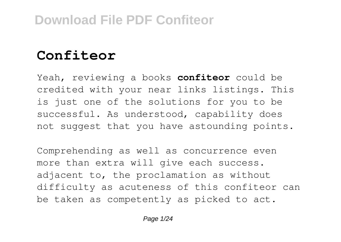# **Confiteor**

Yeah, reviewing a books **confiteor** could be credited with your near links listings. This is just one of the solutions for you to be successful. As understood, capability does not suggest that you have astounding points.

Comprehending as well as concurrence even more than extra will give each success. adjacent to, the proclamation as without difficulty as acuteness of this confiteor can be taken as competently as picked to act.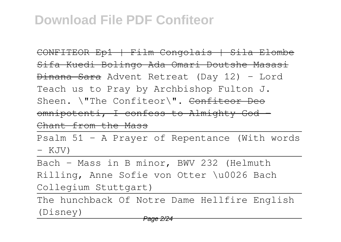CONFITEOR Ep1 | Film Congolais | Sila Elombe Sifa Kuedi Bolingo Ada Omari Doutshe Masasi Dinana Sara Advent Retreat (Day 12) - Lord Teach us to Pray by Archbishop Fulton J. Sheen. \"The Confiteor\". Confiteor Deo omnipotenti, I confess to Almighty God -Chant from the Mass

Psalm 51 - A Prayer of Repentance (With words - KJV)

Bach - Mass in B minor, BWV 232 (Helmuth Rilling, Anne Sofie von Otter \u0026 Bach Collegium Stuttgart)

The hunchback Of Notre Dame Hellfire English (Disney)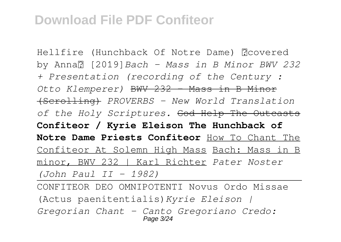Hellfire (Hunchback Of Notre Dame) 【covered by Anna】 [2019]*Bach - Mass in B Minor BWV 232 + Presentation (recording of the Century : Otto Klemperer)* BWV 232 - Mass in B Minor (Scrolling) *PROVERBS - New World Translation of the Holy Scriptures.* God Help The Outcasts **Confiteor / Kyrie Eleison The Hunchback of Notre Dame Priests Confiteor** How To Chant The Confiteor At Solemn High Mass Bach: Mass in B minor, BWV 232 | Karl Richter *Pater Noster (John Paul II - 1982)*

CONFITEOR DEO OMNIPOTENTI Novus Ordo Missae (Actus paenitentialis)*Kyrie Eleison | Gregorian Chant - Canto Gregoriano Credo:* Page 3/24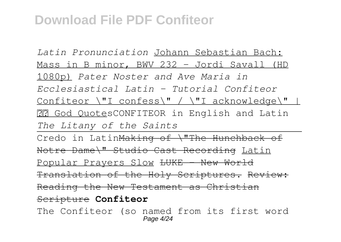*Latin Pronunciation* Johann Sebastian Bach: Mass in B minor, BWV 232 - Jordi Savall (HD 1080p) *Pater Noster and Ave Maria in Ecclesiastical Latin - Tutorial Confiteor* Confiteor \"I confess\" / \"I acknowledge\" | God Quotes CONFITEOR in English and Latin *The Litany of the Saints* Credo in LatinMaking of \"The Hunchback of Notre Dame\" Studio Cast Recording Latin Popular Prayers Slow <del>LUKE - New World</del> Translation of the Holy Scriptures. Review: Reading the New Testament as Christian Scripture **Confiteor** The Confiteor (so named from its first word Page 4/24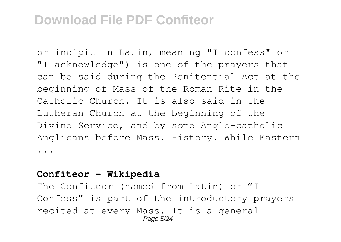or incipit in Latin, meaning "I confess" or "I acknowledge") is one of the prayers that can be said during the Penitential Act at the beginning of Mass of the Roman Rite in the Catholic Church. It is also said in the Lutheran Church at the beginning of the Divine Service, and by some Anglo-catholic Anglicans before Mass. History. While Eastern ...

#### **Confiteor - Wikipedia**

The Confiteor (named from Latin) or "I Confess" is part of the introductory prayers recited at every Mass. It is a general Page 5/24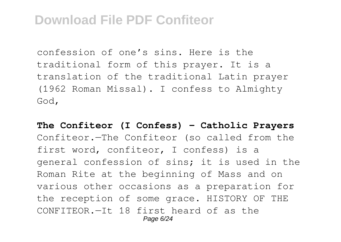confession of one's sins. Here is the traditional form of this prayer. It is a translation of the traditional Latin prayer (1962 Roman Missal). I confess to Almighty God,

**The Confiteor (I Confess) - Catholic Prayers** Confiteor.—The Confiteor (so called from the first word, confiteor, I confess) is a general confession of sins; it is used in the Roman Rite at the beginning of Mass and on various other occasions as a preparation for the reception of some grace. HISTORY OF THE CONFITEOR.—It 18 first heard of as the Page 6/24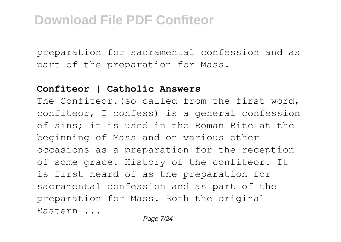preparation for sacramental confession and as part of the preparation for Mass.

#### **Confiteor | Catholic Answers**

The Confiteor.(so called from the first word, confiteor, I confess) is a general confession of sins; it is used in the Roman Rite at the beginning of Mass and on various other occasions as a preparation for the reception of some grace. History of the confiteor. It is first heard of as the preparation for sacramental confession and as part of the preparation for Mass. Both the original Eastern ...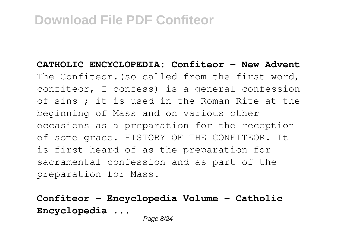**CATHOLIC ENCYCLOPEDIA: Confiteor - New Advent** The Confiteor.(so called from the first word, confiteor, I confess) is a general confession of sins ; it is used in the Roman Rite at the beginning of Mass and on various other occasions as a preparation for the reception of some grace. HISTORY OF THE CONFITEOR. It is first heard of as the preparation for sacramental confession and as part of the preparation for Mass.

**Confiteor - Encyclopedia Volume - Catholic Encyclopedia ...**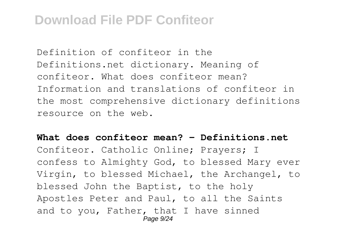Definition of confiteor in the Definitions.net dictionary. Meaning of confiteor. What does confiteor mean? Information and translations of confiteor in the most comprehensive dictionary definitions resource on the web.

**What does confiteor mean? - Definitions.net** Confiteor. Catholic Online; Prayers; I confess to Almighty God, to blessed Mary ever Virgin, to blessed Michael, the Archangel, to blessed John the Baptist, to the holy Apostles Peter and Paul, to all the Saints and to you, Father, that I have sinned Page 9/24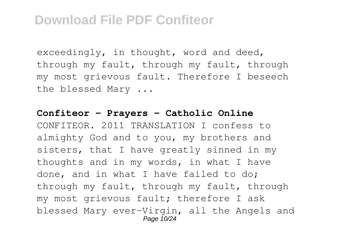exceedingly, in thought, word and deed, through my fault, through my fault, through my most grievous fault. Therefore I beseech the blessed Mary ...

#### **Confiteor - Prayers - Catholic Online**

CONFITEOR. 2011 TRANSLATION I confess to almighty God and to you, my brothers and sisters, that I have greatly sinned in my thoughts and in my words, in what I have done, and in what I have failed to do; through my fault, through my fault, through my most grievous fault; therefore I ask blessed Mary ever-Virgin, all the Angels and Page 10/24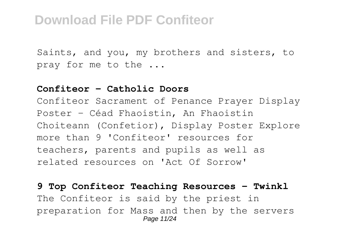Saints, and you, my brothers and sisters, to pray for me to the ...

#### **Confiteor - Catholic Doors**

Confiteor Sacrament of Penance Prayer Display Poster - Céad Fhaoistin, An Fhaoistin Choiteann (Confetior), Display Poster Explore more than 9 'Confiteor' resources for teachers, parents and pupils as well as related resources on 'Act Of Sorrow'

**9 Top Confiteor Teaching Resources - Twinkl** The Confiteor is said by the priest in preparation for Mass and then by the servers Page 11/24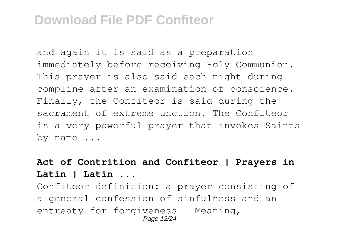and again it is said as a preparation immediately before receiving Holy Communion. This prayer is also said each night during compline after an examination of conscience. Finally, the Confiteor is said during the sacrament of extreme unction. The Confiteor is a very powerful prayer that invokes Saints by name ...

### **Act of Contrition and Confiteor | Prayers in Latin | Latin ...**

Confiteor definition: a prayer consisting of a general confession of sinfulness and an entreaty for forgiveness | Meaning, Page 12/24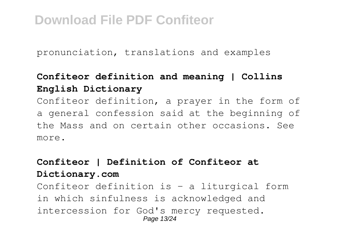pronunciation, translations and examples

### **Confiteor definition and meaning | Collins English Dictionary**

Confiteor definition, a prayer in the form of a general confession said at the beginning of the Mass and on certain other occasions. See more.

### **Confiteor | Definition of Confiteor at Dictionary.com**

Confiteor definition is - a liturgical form in which sinfulness is acknowledged and intercession for God's mercy requested. Page 13/24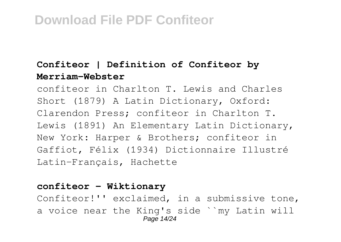### **Confiteor | Definition of Confiteor by Merriam-Webster**

confiteor in Charlton T. Lewis and Charles Short (1879) A Latin Dictionary, Oxford: Clarendon Press; confiteor in Charlton T. Lewis (1891) An Elementary Latin Dictionary, New York: Harper & Brothers; confiteor in Gaffiot, Félix (1934) Dictionnaire Illustré Latin-Français, Hachette

#### **confiteor - Wiktionary**

Confiteor!'' exclaimed, in a submissive tone, a voice near the King's side ``my Latin will Page 14/24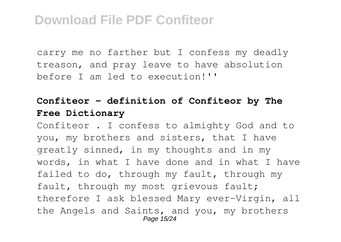carry me no farther but I confess my deadly treason, and pray leave to have absolution before I am led to execution!''

### **Confiteor - definition of Confiteor by The Free Dictionary**

Confiteor . I confess to almighty God and to you, my brothers and sisters, that I have greatly sinned, in my thoughts and in my words, in what I have done and in what I have failed to do, through my fault, through my fault, through my most grievous fault; therefore I ask blessed Mary ever-Virgin, all the Angels and Saints, and you, my brothers Page 15/24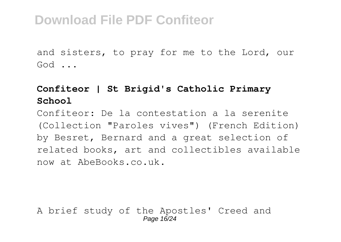and sisters, to pray for me to the Lord, our God ...

### **Confiteor | St Brigid's Catholic Primary School**

Confiteor: De la contestation a la serenite (Collection "Paroles vives") (French Edition) by Besret, Bernard and a great selection of related books, art and collectibles available now at AbeBooks.co.uk.

A brief study of the Apostles' Creed and Page 16/24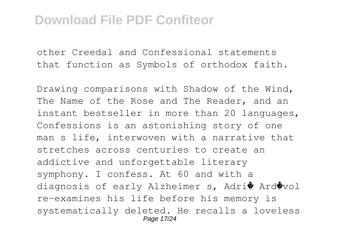other Creedal and Confessional statements that function as Symbols of orthodox faith.

Drawing comparisons with Shadow of the Wind, The Name of the Rose and The Reader, and an instant bestseller in more than 20 languages, Confessions is an astonishing story of one man s life, interwoven with a narrative that stretches across centuries to create an addictive and unforgettable literary symphony. I confess. At 60 and with a diagnosis of early Alzheimer s, Adri� Ard�vol re-examines his life before his memory is systematically deleted. He recalls a loveless Page 17/24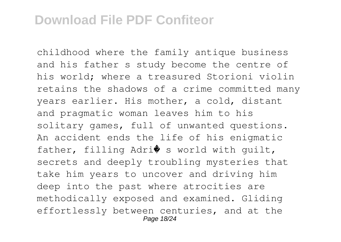childhood where the family antique business and his father s study become the centre of his world; where a treasured Storioni violin retains the shadows of a crime committed many years earlier. His mother, a cold, distant and pragmatic woman leaves him to his solitary games, full of unwanted questions. An accident ends the life of his enigmatic father, filling Adri $\bullet$  s world with guilt, secrets and deeply troubling mysteries that take him years to uncover and driving him deep into the past where atrocities are methodically exposed and examined. Gliding effortlessly between centuries, and at the Page 18/24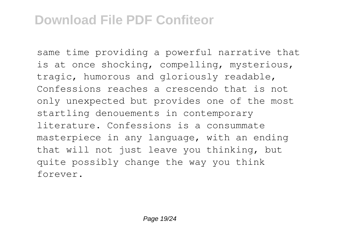same time providing a powerful narrative that is at once shocking, compelling, mysterious, tragic, humorous and gloriously readable, Confessions reaches a crescendo that is not only unexpected but provides one of the most startling denouements in contemporary literature. Confessions is a consummate masterpiece in any language, with an ending that will not just leave you thinking, but quite possibly change the way you think forever.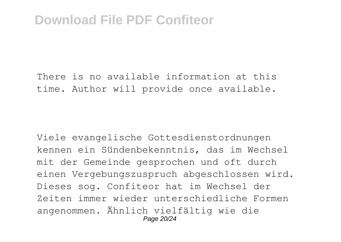There is no available information at this time. Author will provide once available.

Viele evangelische Gottesdienstordnungen kennen ein Sündenbekenntnis, das im Wechsel mit der Gemeinde gesprochen und oft durch einen Vergebungszuspruch abgeschlossen wird. Dieses sog. Confiteor hat im Wechsel der Zeiten immer wieder unterschiedliche Formen angenommen. Ähnlich vielfältig wie die Page 20/24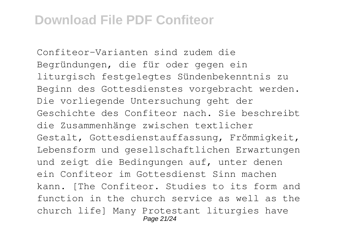Confiteor-Varianten sind zudem die Begründungen, die für oder gegen ein liturgisch festgelegtes Sündenbekenntnis zu Beginn des Gottesdienstes vorgebracht werden. Die vorliegende Untersuchung geht der Geschichte des Confiteor nach. Sie beschreibt die Zusammenhänge zwischen textlicher Gestalt, Gottesdienstauffassung, Frömmigkeit, Lebensform und gesellschaftlichen Erwartungen und zeigt die Bedingungen auf, unter denen ein Confiteor im Gottesdienst Sinn machen kann. [The Confiteor. Studies to its form and function in the church service as well as the church life] Many Protestant liturgies have Page 21/24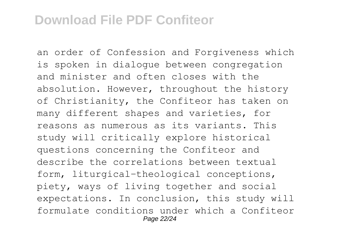an order of Confession and Forgiveness which is spoken in dialogue between congregation and minister and often closes with the absolution. However, throughout the history of Christianity, the Confiteor has taken on many different shapes and varieties, for reasons as numerous as its variants. This study will critically explore historical questions concerning the Confiteor and describe the correlations between textual form, liturgical-theological conceptions, piety, ways of living together and social expectations. In conclusion, this study will formulate conditions under which a Confiteor Page 22/24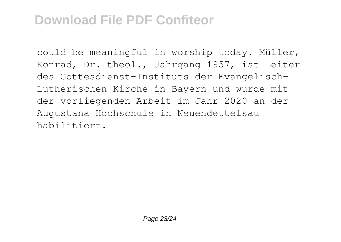could be meaningful in worship today. Müller, Konrad, Dr. theol., Jahrgang 1957, ist Leiter des Gottesdienst-Instituts der Evangelisch-Lutherischen Kirche in Bayern und wurde mit der vorliegenden Arbeit im Jahr 2020 an der Augustana-Hochschule in Neuendettelsau habilitiert.